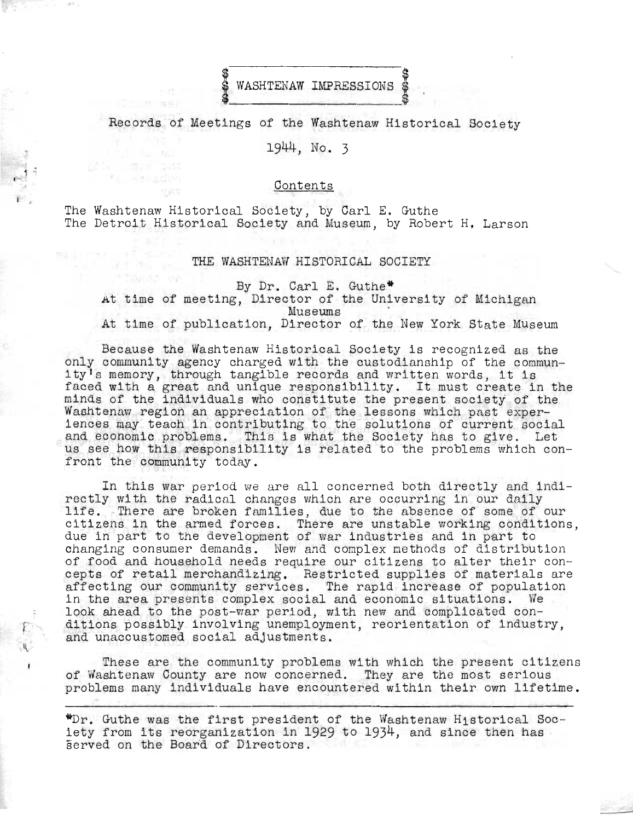

Records of Meetings of the Washtenaw Historical Society

1944, No. 3

**Contents** 

The Washtenaw Historical Society, by Carl E. Guthe The Detroit Historical Society and Museum, by Robert H, Larson

 $.1 \div$ 

## THE WASHTENAW HISTORICAL SOCIETY

By Dr. Carl E. Guthe\* At time of meeting, Director of the University of Michigan Museums At time of publication, Director of the New York State MUseum

Because the Washtenaw Historical Society is recognized as the only community agency charged with the custodianship of the community's memory, through tangible records and written words, it is faced with a great and unique responsibility. It must create in the minds of the individuals who constitute the present society of the Washtenaw region an appreciation of the lessons which past experiences may teach in contributing to the solutions of current social and economic problems. This is what the Society has to give. Let us see how this responsibility is related to the problems which confront the community today.

In this war period we are all concerned both directly and indirectly with the radical changes which are occurring in our daily life. There are broken families, due to the absence of some of our citizens in the armed forces. There are unstable working conditions, due in part to the development of war industries and in part to changing consumer demands. New and complex methods of distribution of food and household needs require our citizens to alter their concepts of retail merchandizing. Restricted supplies of materials are affecting our community services. The rapid increase of population in the area presents complex social and economic situations. We look ahead to the post-war period, with new and complicated conditions possibly involving unemployment, reorientation of industry, and unaccustomed social adjustments.

These are the community problems with which the present citizens of Washtenaw County are now concerned. They are the most serious problems many individuals have encountered within their own lifetime.

**\*Dr.** Guthe was the first president of the Washtenaw Historical Society from its reorganization in 1929 to 1934, and since then has  $\bar{s}$ erved on the Board of Directors.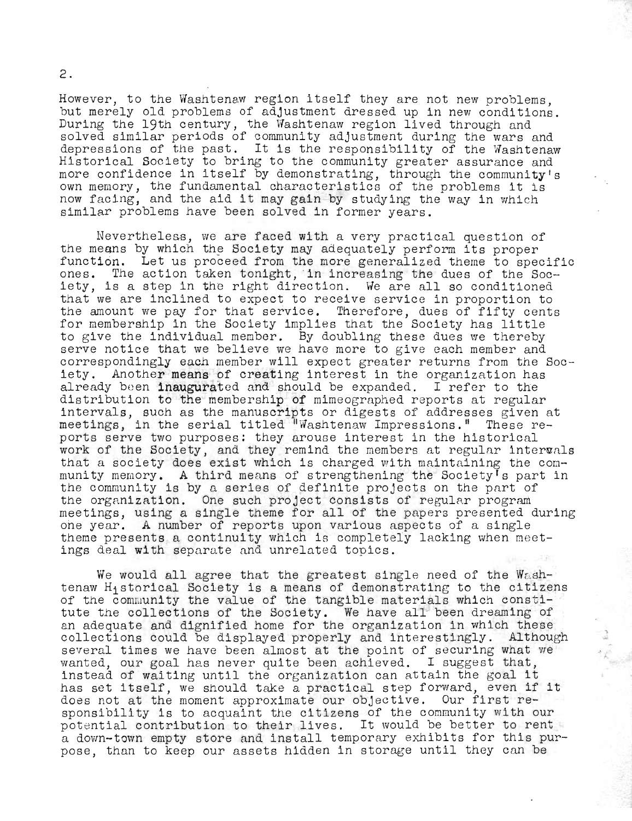However, to the Washtenaw region itself they are not new problems, but merely old problems of adjustment dressed up in new conditions. During the 19th century, the Washtenaw region lived through and solved similar periods of community adjustment during the wars and solved similar periods of community adjustment during the wars and<br>depressions of the past. It is the responsibility of the Washtenaw Historical Society to bring to the community greater assurance and more confidence in itself by demonstrating, through the community's own memory, the fundamental characteristics of the problems it is now facing, and the aid it may gain by studying the way in which similar problems have been solved in former years.

'-

Nevertheless, we are faced with a very practical question of the means by which the Society may adequately perform its proper function. Let us proceed from the more generalized theme to specific ones. The action taken tonight, in increasing the dues of the Society, is a step in the right direction. We are all so conditioned that we are inclined to expect to receive service in proportion to the amount we pay for that service. Therefore, dues of fifty cents for membership in the Society implies that the Society has little to give the individual member. By doubling these dues we thereby serve notice that we believe we have more to give each member and correspondingly each member will expect greater returns from the Society. Another means of creating interest in the organization has already been inaugurated and should be expanded. I refer to the distribution to the membership of mimeographed reports at regular intervals, such as the manuscripts or digests of addresses given at meetings, in the serial titled Washtenaw Impressions." These reports serve two purposes: they arouse interest in the historical work of the Society, and they remind the members at regular intervals that a society does exist which is charged with maintaining the community memory. A third means of strengthening the Society's part in the community is by a series of definite projects on the part of the organization. One such project consists of regular program meetings, using a single theme for all of the papers presented during one year. A number of reports upon various aspects of a single theme presents a continuity which is completely lacking when meetings deal with separate and unrelated topics.

We would all agree that the greatest single need of the Washtenaw Historical Society is a means of demonstrating to the citizens of the community the value of the tangible materials which constitute the collections of the Society. We have all been dreaming of an adequate and dignified home for the organization in which these collections could be displayed properly and interestingly. Although several times we have been almost at the point of securing what we wanted, our goal has never quite been achieved. I suggest that, instead of waiting until the organization can attain the goal it has set itself, we should take a practical step forward, even if it does not at the moment approximate our objective. Our first responsibility is to acquaint the citizens of the community with our potential contribution to their lives. It would be better to rent a dovm-town empty store and install temporary exhibits for this purpose, than to keep our assets hidden in storage until they can be

2.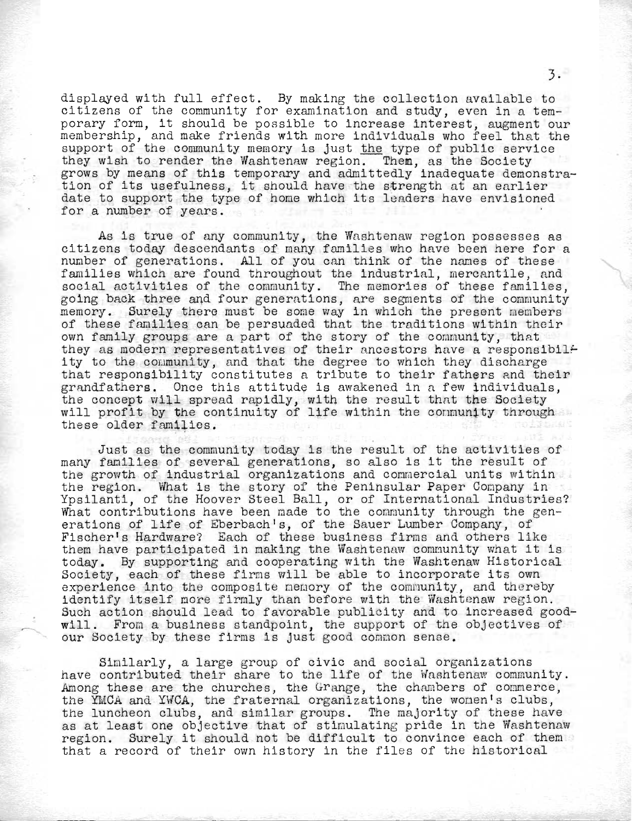displayed with full effect. By making the collection available to citizens of the community for examination and study, even in a temporary form, it should be possible to increase interest, augment our pordry room, we should be possible to individuals who feel that the support of the community memory is just the type of public service they wish to render the Washtenaw region. Them, as the Society grows by means of this temporary and admittedly inadequate demonstration of its usefulness, it should have the strength at an earlier date to support the type of home which its leaders have envisioned for a number of years.

As is true of any community, the Washtenaw region possesses as citizens today descendants of many families who have been here for a number of generations. All of you can think of the names of these families which are found throughout the industrial, mercantile, and social activities of the community. The memories of these families, going back three and four generations, are segments of the community memory. Surely there must be some way in which the present members of these families can be persuaded that the traditions within their own family groups are a part of the story of the community, that they as modern representatives of their ancestors have a responsibility to the coumunity, and that the degree to which they discharge that responsibility constitutes a tribute to their fathers and their grandfathers. Once this attitude is awakened in a few individuals, the concept will spread rapidly, with the result that the Society will profit by the continuity of life within the conmunity through these older families.

Just as the community today is the result of the activities of many families of several generations, so also is it the result of the growth of industrial organizations and commercial units within the region. What is the story of the Peninsular Paper Company in Ypsilanti, of the Hoover Steel Ball, or of International Industries? What contributions have been made to the community through the generations of life of Eberbach's, of the Sauer Lumber Company, of Fischer's Hardware? Each of these business firms and others like them have participated in making the Washtenaw community what it is today. By supporting and cooperating with the Washtenaw Historical Society, each of these firms will be able to incorporate its own experience into the composite nemory of the community, and thereby identify itself more firmly than before with the Washtenaw region. Such action should lead to favorable publicity and to increased goodwill. From a business standpoint, the support of the objectives of our Society by these firms is just good common sense.

Similarly, a large group of civic and social organizations have contributed their share to the life of the Washtenaw community. Among these are the churches, the Grange, the chambers of commerce, the YMCA and YWCA, the fraternal organizations, the wonen's clubs, the luncheon clubs, and similar groups. The majority of these have as at least one objective that of stimulating pride in the Washtenaw region. Surely it should not be difficult to convince each of them that a record of their own history in the files of the historical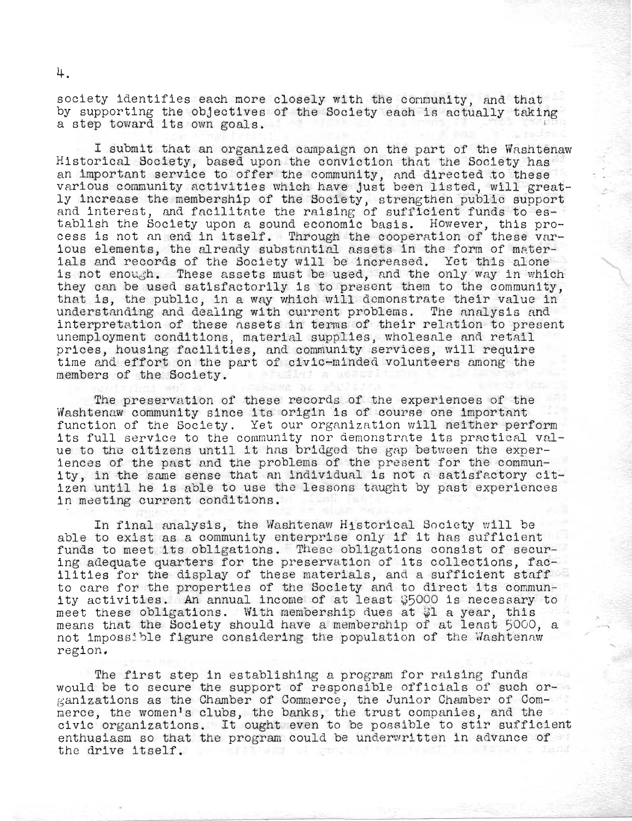society identifies each more closely with the connunity, and that by supporting the objectives of the Society eaoh is actually taking by supporting the objectives of the Society each is actually takin<br>a step toward its own goals.

I submit that an organized campaign on the part of the Washtenaw Historical Society, based upon the conviction that the Society has important service to offer the community, and directed to these various community activities which have just been listed, will greatly increase the membership of the Society, strengthen public support and interest, and facilitate the raising of sufficient funds to establish the Society upon a sound economic basis. However, this procapilism the boclety upon a sound economic pasis. However, this pro-<br>cess is not an end in itself. Through the cooperation of these various elements, the already substantial assets in the form of materials and records of the Society will be increased. Yet this alone is not enough. These assets must be used, and the only way in which they can be used satisfactorily is to present them to the community, that is, the public, in a way which will demonstrate their value in understanding and dealing with current problems. The analysis and interpretation of these assets in terms of their relntion to present unemployment conditions, material supplies, wholesale and retail prices, housing facilities, and community services, will require time and effort on the part of civic-minded volunteers nmong the members of the Society.

The preservation of these records of the experiences of the Washtenaw community since its origin is of course one important function of the Society. Yet our organization will neither perform its full service to the community nor demonstrate its practical value to the citizens until it has bridged the gap between the experiences of the past and the problems of the present for the community, in the same sense that an individual is not a satisfactory citizen until he is able to use the lessons taught by past experiences in meeting current conditions.

In final analysis, the Washtenaw Historical Society will be able to exist as a community enterprise only if it has sufficient funds to meet its obligations. These obligations consist of securing adequate quarters for the preservation of its collections, facilities for the display of these materials, and a sufficient staff to care for the properties of the Society and to direct its community activities. An annual income of at least \$5000 is necessary to meet these obligations. With membership dues at  $\mathcal{G}$ l a year, this means that the Society should have a membership of at least 5000, a not impossible figure considering the population of the Washtenaw region.

The first step in establishing a program for raising funds would be to secure the support of responsible officials of such organizations as the Chamber of Commerce, the Junior Chamber of Commerce, the women's clubs, the banks, the trust companies, and the civic organizations. It ought even to be possible to stir sufficient enthusiasm so that the program could be underwritten in advance of **Self the air of gend** the drive itself.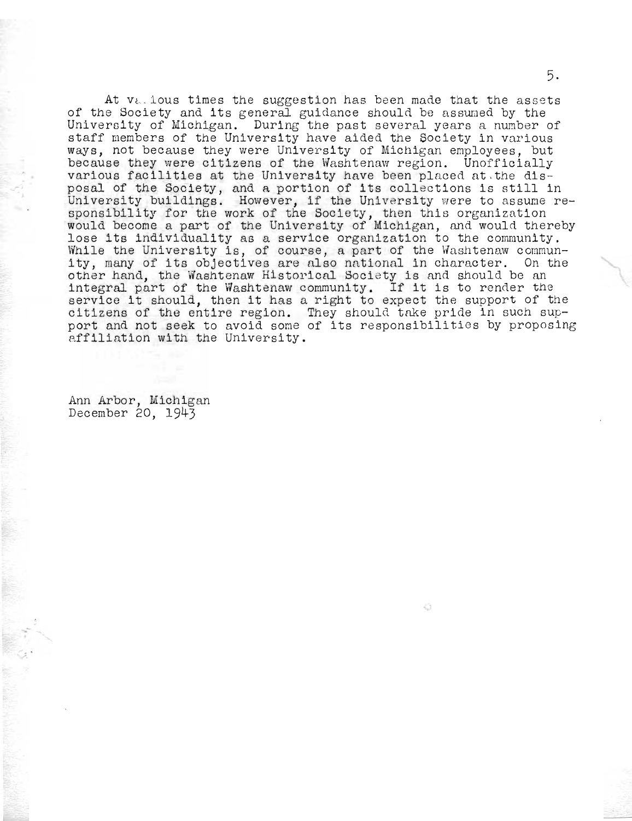At  $v_{k-1}$  jous times the suggestion has been made that the assets of the Society and its general guidance should be assumed by the In the boolety and les general guidance should be assumed by the several years and the past several years a number of staff members of the University have aided the Society in various ways, not because they were University of Michigan employees, but because they were citizens of the Washtenaw region. Unofficially various facilities at the University have been placed at the disposal of the Society, and a portion of its collections is still in University buildings. However, if the University were to assume responsibility for the work of the Society, then this organization sponsibility for the work of the boolety, then this organization lose its individuality as a service organization to the community. rose its individuality as a service organization to the community.<br>Mhile the University is, of course, a part of the Washtenaw communwhile the university is, of course, a part of the washtenaw commun-<br>ity, many of its objectives are also national in character. On the other hand, the Washtenaw Historical Society is and should be an ither hand, the washtenaw Historical Society is and should be an<br>integral part of the Washtenaw community. If it is to render the integral part of the Washtenaw community. If it is to render the<br>service it should, then it has a right to expect the support of the citizens of the entire region. They should take pride in such sup-<br>port and not seek to avoid some of its responsibilities by proposing affiliation with the University.

Ann Arbor, Michigan December 20, 1943

5.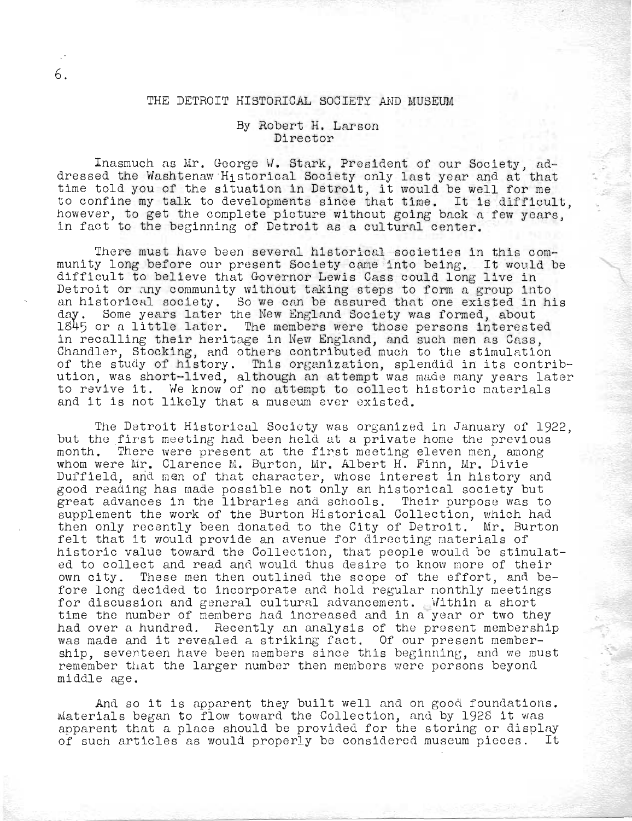## THE DETROIT HISTORICAL SOCIETY AND MUSEUM

6.

## By Robert H. Larson Director

Inasmuch as Mr. George W. Stark, President of our Society, addressed the Washtenaw 'Historical Society only last year and at that time told you of the situation in Detroit, it would be well for me to confine my talk to developments since that time, It is difficult, however, to get the complete picture without going back a few years, in fact to the beginning of Detroit as a cultural center.

There must have been several historical societies in this community long before our present Society came into being. It would be difficult to believe that Governor Lewis Cass could long live in Detroit or any community without taking steps to form a group into an historical society. So we can be assured that one existed in his day. Some years later the New England Society was formed, about lS45 or a little later. The members were those persons interested in recalling their heritage in New England, and such men as Cass, Chandler, Stocking, and others contributed much to the stimulation of the study of history. This organization, splendid in its contribution, was short-lived, although an attempt was made many years later to revive it. We know of no attempt to collect historic materials and it is not likely that a museum ever existed.

The Detroit Historical Society was organized in January of 1922, but the first meeting had been held at a private home the previous month. There were present at the first meeting eleven men, among whom were Mr. Clarence M. Burton, Mr. Albert H. Finn, Mr. Divie Duffield, and men of that character, whose interest in history and good reading has made possible not only an historical society but great advances in the libraries and schools. Their purpose was to supplement the work of the Burton Historical Collection, which had then only recently been donated to the City of Detroit. Mr. BUrton felt that it would provide an avenue for directing materials of historic value toward the Collection, that people would be stimulated to collect and read and would thus desire to know more of their own city. These men then outlined the scope of the effort, and before long decided to incorporate and hold regular monthly meetings for discussion and general cultural advancement. Within a short time the number of members had increased and in a year or two they had over a hundred. Recently an analysis of the present membership was made and it revealed a striking fact. Of our present membership, seventeen have been members since this beginning, and we must remember that the larger number then members were persons beyond middle age.

And so it is apparent they built well and on good foundations. Materials began to flow toward the Collection, and by 1928 it wns apparent that a place should be provided for the storing or display of such articles as would properly be considered museum pieces. It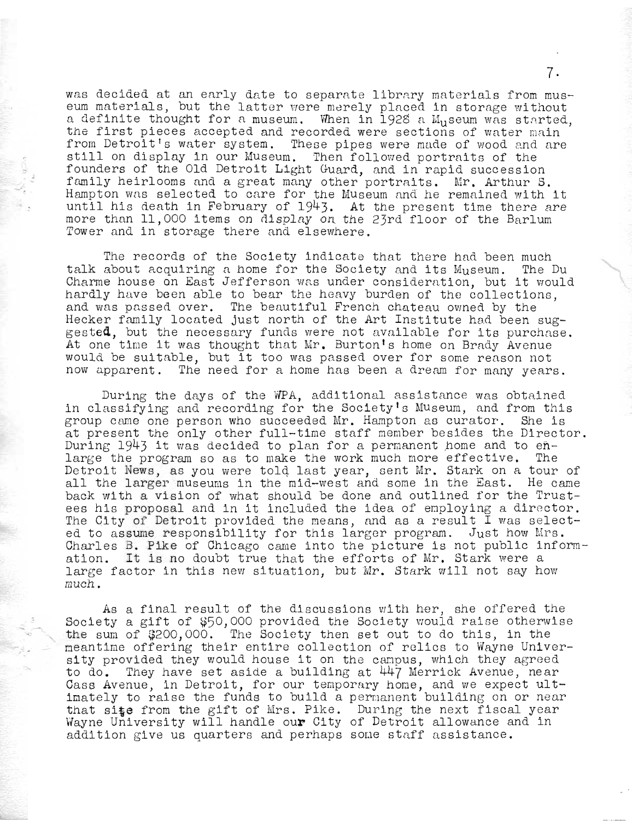was decided at an early date to separate library materials from museum materials, but the latter were merely placed in storage without a definite thought for a museum. When in 1928 a  $M_{11}$ seum was started, the first pieces accepted and recorded were sections of water main from Detroit's water system. These pipes were made of wood and are still on display in our Museum. Then followed portraits of the founders of the Old Detroit Light Guard, and in rapid succession family heirlooms and a great many other portraits. Mr. Arthur S. Hampton was selected to care for the Museum and he remained with it until his death in February of 1943. At the present time there are more than 11,000 items on display on the 23rd floor of the Barlum Tower and in storage there and elsewhere.

 $\frac{1}{2}$ .

The records of the Society indicate that there had been much talk about acquiring a home for the Society and its Museum. The Du Charme house on East Jefferson was under consideration, but it would hardly have been able to bear the heavy burden of the collections. and was passed over. The beautiful French chateau owned by the Hecker family located just north of the Art Institute had been suggested, but the necessary funds were not available for its purchase. At one time it was thought that Mr. Burton's home on Brady Avenue would be suitable, but it too was passed over for some reason not now apparent. The need for a home has been a dream for many years.

During the days of the WPA, additional assistance was obtained in classifying and recording for the Society's Museum, and from this<br>group came one person who succeeded Mr. Hampton as curator. She is group came one person who succeeded  $Mr$ . Hampton as curator. at present the only other full-time staff member besides the Director. During  $1943$  it was decided to plan for a permanent home and to  $en$ large the program so as to make the work much more effective. The Detroit News, as you were tolq. last year, sent Mr. Stark on a tour of all the larger museums in the mid-west and some in the East. He came back with a vision of what should be done and outlined for the Trustees his proposal and in it included the idea of employing a director. The City of Detroit provided the means, and as a result I was selected to assume responsibility for this larger program. Just how Mrs. Charles B. Pike of Chicago came into the picture is not public information. It is no doubt true that the efforts of Mr. Stark were a large factor in this new situation, but Mr. Stark will not say how much.

As a final result of the discussions with her, she offered the Society a gift of \$50,000 provided the Society would raise otherwise the sum of \$200,000. The Society then set out to do this, in the meantime offering their entire collection of relics to Wayne University provided they would house it on the campus, which they agreed to do. They have set aside a building at 447 Merrick Avenue, near Cass Avenue, in Detroit, for our temporary home, and we expect ultimately to raise the funds to build a permanent building on or near that si $^{*}$ e from the gift of Mrs. Pike. During the next fiscal year Wayne University will handle our City of Detroit allowance and in addition give us quarters and perhaps some staff assistance.

7.